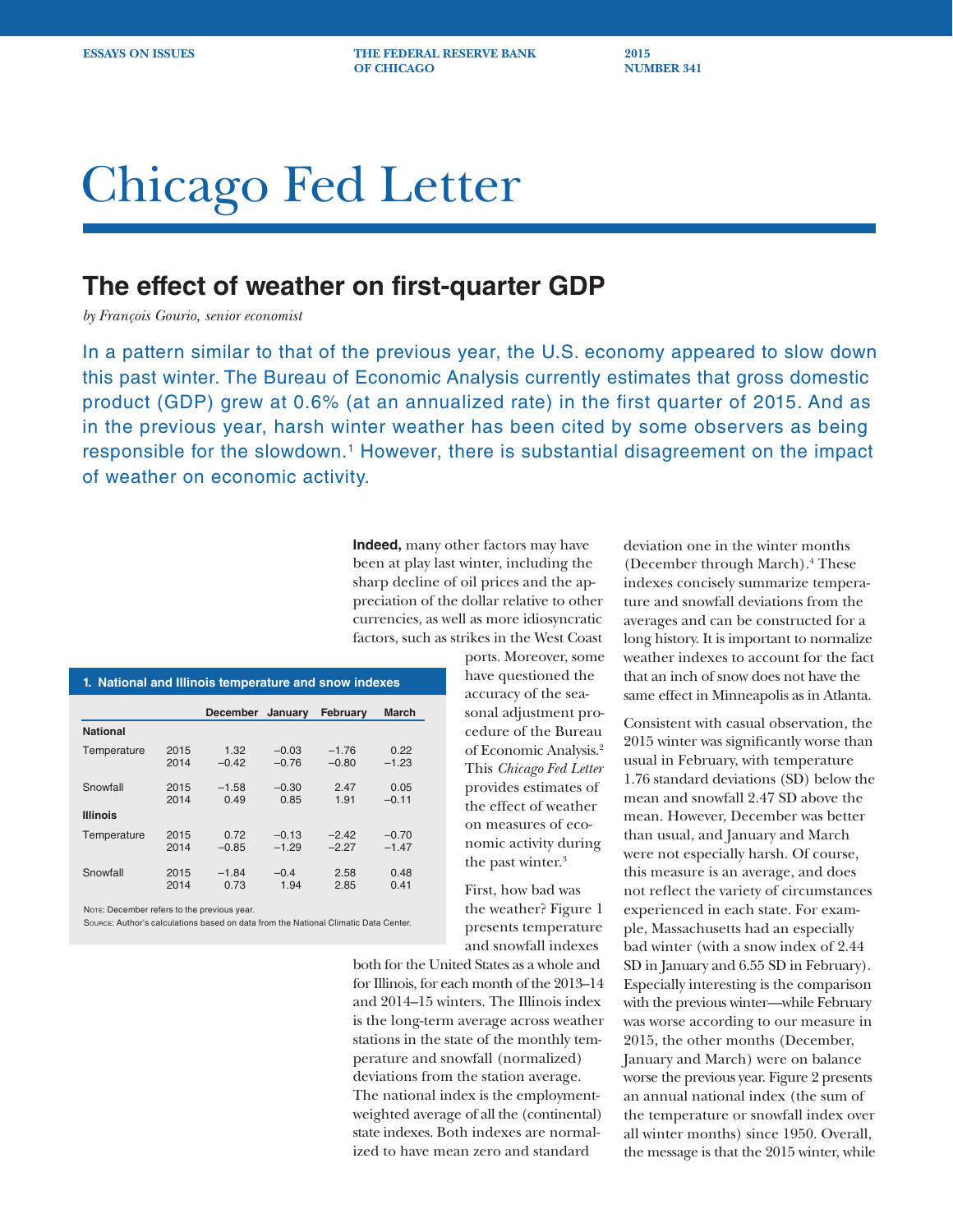**ESSAYS ON ISSUES** THE FEDERAL RESERVE BANK 2015 **OF CHICAGO NUMBER 341** 

# Chicago Fed Letter

## **The effect of weather on first-quarter GDP**

*by François Gourio, senior economist*

In a pattern similar to that of the previous year, the U.S. economy appeared to slow down this past winter. The Bureau of Economic Analysis currently estimates that gross domestic product (GDP) grew at 0.6% (at an annualized rate) in the first quarter of 2015. And as in the previous year, harsh winter weather has been cited by some observers as being responsible for the slowdown.<sup>1</sup> However, there is substantial disagreement on the impact of weather on economic activity.

> **Indeed,** many other factors may have been at play last winter, including the sharp decline of oil prices and the appreciation of the dollar relative to other currencies, as well as more idiosyncratic factors, such as strikes in the West Coast

| 1. National and Illinois temperature and snow indexes |              |                 |                    |                    |                    |  |
|-------------------------------------------------------|--------------|-----------------|--------------------|--------------------|--------------------|--|
|                                                       |              | <b>December</b> | January            | February           | <b>March</b>       |  |
| <b>National</b>                                       |              |                 |                    |                    |                    |  |
| Temperature                                           | 2015<br>2014 | 1.32<br>$-0.42$ | $-0.03$<br>$-0.76$ | $-1.76$<br>$-0.80$ | 0.22<br>$-1.23$    |  |
| Snowfall                                              | 2015<br>2014 | $-1.58$<br>0.49 | $-0.30$<br>0.85    | 2.47<br>1.91       | 0.05<br>$-0.11$    |  |
| <b>Illinois</b>                                       |              |                 |                    |                    |                    |  |
| Temperature                                           | 2015<br>2014 | 0.72<br>$-0.85$ | $-0.13$<br>$-1.29$ | $-2.42$<br>$-2.27$ | $-0.70$<br>$-1.47$ |  |
| Snowfall                                              | 2015<br>2014 | $-1.84$<br>0.73 | $-0.4$<br>1.94     | 2.58<br>2.85       | 0.48<br>0.41       |  |

Note: December refers to the previous year.

Source: Author's calculations based on data from the National Climatic Data Center.

ports. Moreover, some have questioned the accuracy of the seasonal adjustment procedure of the Bureau of Economic Analysis.2 This *Chicago Fed Letter*  provides estimates of the effect of weather on measures of economic activity during the past winter.<sup>3</sup>

First, how bad was the weather? Figure 1 presents temperature and snowfall indexes

both for the United States as a whole and for Illinois, for each month of the 2013–14 and 2014–15 winters. The Illinois index is the long-term average across weather stations in the state of the monthly temperature and snowfall (normalized) deviations from the station average. The national index is the employmentweighted average of all the (continental) state indexes. Both indexes are normalized to have mean zero and standard

deviation one in the winter months (December through March).<sup>4</sup> These indexes concisely summarize temperature and snowfall deviations from the averages and can be constructed for a long history. It is important to normalize weather indexes to account for the fact that an inch of snow does not have the same effect in Minneapolis as in Atlanta.

Consistent with casual observation, the 2015 winter was significantly worse than usual in February, with temperature 1.76 standard deviations (SD) below the mean and snowfall 2.47 SD above the mean. However, December was better than usual, and January and March were not especially harsh. Of course, this measure is an average, and does not reflect the variety of circumstances experienced in each state. For example, Massachusetts had an especially bad winter (with a snow index of 2.44 SD in January and 6.55 SD in February). Especially interesting is the comparison with the previous winter—while February was worse according to our measure in 2015, the other months (December, January and March) were on balance worse the previous year. Figure 2 presents an annual national index (the sum of the temperature or snowfall index over all winter months) since 1950. Overall, the message is that the 2015 winter, while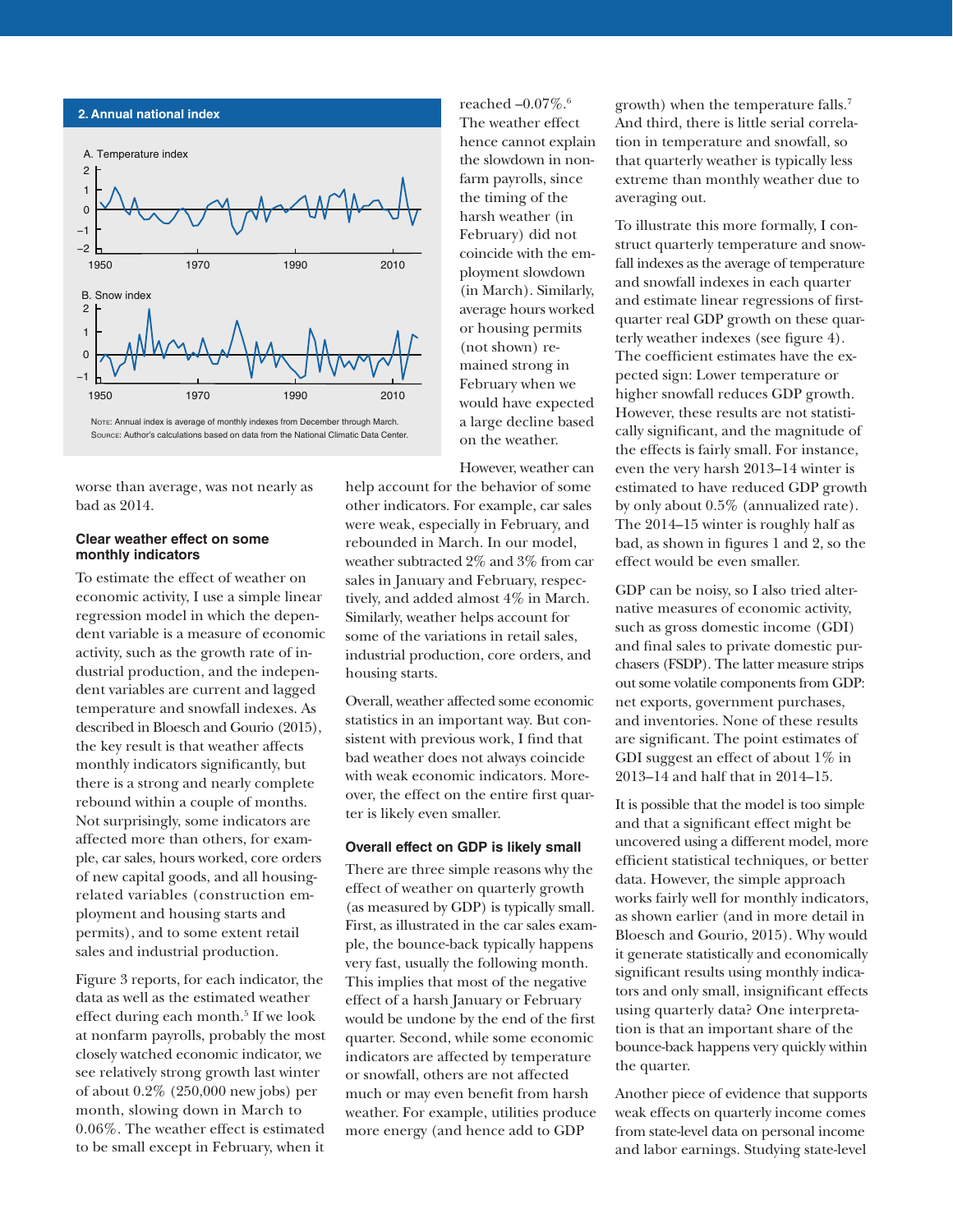



worse than average, was not nearly as bad as 2014.

#### **Clear weather effect on some monthly indicators**

To estimate the effect of weather on economic activity, I use a simple linear regression model in which the dependent variable is a measure of economic activity, such as the growth rate of industrial production, and the independent variables are current and lagged temperature and snowfall indexes. As described in Bloesch and Gourio (2015), the key result is that weather affects monthly indicators significantly, but there is a strong and nearly complete rebound within a couple of months. Not surprisingly, some indicators are affected more than others, for example, car sales, hours worked, core orders of new capital goods, and all housingrelated variables (construction employment and housing starts and permits), and to some extent retail sales and industrial production.

Figure 3 reports, for each indicator, the data as well as the estimated weather effect during each month.<sup>5</sup> If we look at nonfarm payrolls, probably the most closely watched economic indicator, we see relatively strong growth last winter of about 0.2% (250,000 new jobs) per month, slowing down in March to 0.06%. The weather effect is estimated to be small except in February, when it

reached  $-0.07\%$ .<sup>6</sup> The weather effect hence cannot explain the slowdown in nonfarm payrolls, since the timing of the harsh weather (in February) did not coincide with the employment slowdown (in March). Similarly, average hours worked or housing permits (not shown) remained strong in February when we would have expected a large decline based on the weather.

However, weather can

help account for the behavior of some other indicators. For example, car sales were weak, especially in February, and rebounded in March. In our model, weather subtracted 2% and 3% from car sales in January and February, respectively, and added almost 4% in March. Similarly, weather helps account for some of the variations in retail sales, industrial production, core orders, and housing starts.

Overall, weather affected some economic statistics in an important way. But consistent with previous work, I find that bad weather does not always coincide with weak economic indicators. Moreover, the effect on the entire first quarter is likely even smaller.

#### **Overall effect on GDP is likely small**

There are three simple reasons why the effect of weather on quarterly growth (as measured by GDP) is typically small. First, as illustrated in the car sales example, the bounce-back typically happens very fast, usually the following month. This implies that most of the negative effect of a harsh January or February would be undone by the end of the first quarter. Second, while some economic indicators are affected by temperature or snowfall, others are not affected much or may even benefit from harsh weather. For example, utilities produce more energy (and hence add to GDP

growth) when the temperature falls.7 And third, there is little serial correlation in temperature and snowfall, so that quarterly weather is typically less extreme than monthly weather due to averaging out.

To illustrate this more formally, I construct quarterly temperature and snowfall indexes as the average of temperature and snowfall indexes in each quarter and estimate linear regressions of firstquarter real GDP growth on these quarterly weather indexes (see figure 4). The coefficient estimates have the expected sign: Lower temperature or higher snowfall reduces GDP growth. However, these results are not statistically significant, and the magnitude of the effects is fairly small. For instance, even the very harsh 2013–14 winter is estimated to have reduced GDP growth by only about 0.5% (annualized rate). The 2014–15 winter is roughly half as bad, as shown in figures 1 and 2, so the effect would be even smaller.

GDP can be noisy, so I also tried alternative measures of economic activity, such as gross domestic income (GDI) and final sales to private domestic purchasers (FSDP). The latter measure strips out some volatile components from GDP: net exports, government purchases, and inventories. None of these results are significant. The point estimates of GDI suggest an effect of about 1% in 2013–14 and half that in 2014–15.

It is possible that the model is too simple and that a significant effect might be uncovered using a different model, more efficient statistical techniques, or better data. However, the simple approach works fairly well for monthly indicators, as shown earlier (and in more detail in Bloesch and Gourio, 2015). Why would it generate statistically and economically significant results using monthly indicators and only small, insignificant effects using quarterly data? One interpretation is that an important share of the bounce-back happens very quickly within the quarter.

Another piece of evidence that supports weak effects on quarterly income comes from state-level data on personal income and labor earnings. Studying state-level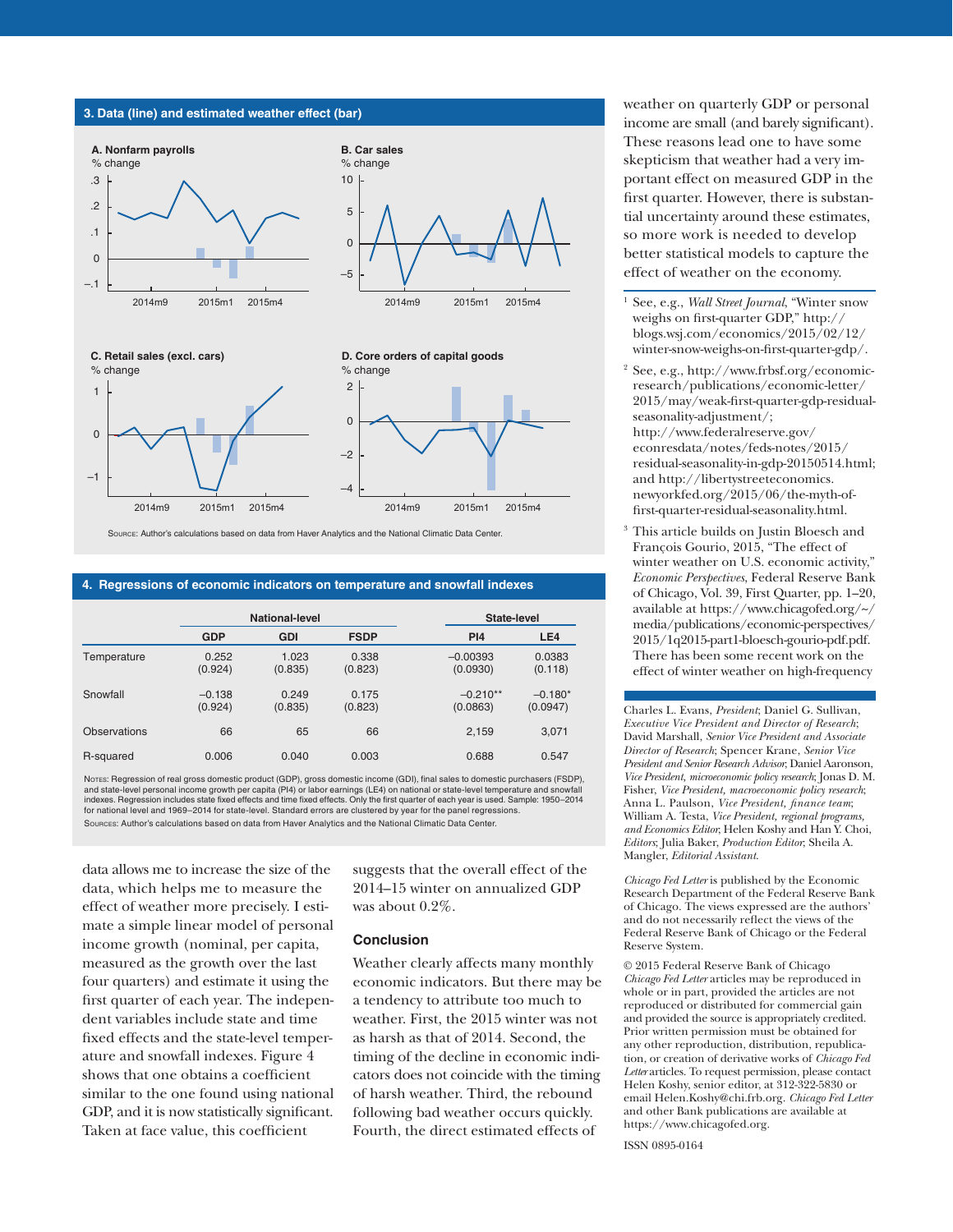#### **3. Data (line) and estimated weather effect (bar)**

–1



2014m9 2015m1 2015m4 –4 –2 2014m9 2015m1 2015m4

Source: Author's calculations based on data from Haver Analytics and the National Climatic Data Center.

#### **4. Regressions of economic indicators on temperature and snowfall indexes**

|                     | <b>National-level</b> |                  |                  | State-level            |                       |
|---------------------|-----------------------|------------------|------------------|------------------------|-----------------------|
|                     | <b>GDP</b>            | <b>GDI</b>       | <b>FSDP</b>      | <b>PI4</b>             | LE4                   |
| Temperature         | 0.252<br>(0.924)      | 1.023<br>(0.835) | 0.338<br>(0.823) | $-0.00393$<br>(0.0930) | 0.0383<br>(0.118)     |
| Snowfall            | $-0.138$<br>(0.924)   | 0.249<br>(0.835) | 0.175<br>(0.823) | $-0.210**$<br>(0.0863) | $-0.180*$<br>(0.0947) |
| <b>Observations</b> | 66                    | 65               | 66               | 2.159                  | 3,071                 |
| R-squared           | 0.006                 | 0.040            | 0.003            | 0.688                  | 0.547                 |

Notes: Regression of real gross domestic product (GDP), gross domestic income (GDI), final sales to domestic purchasers (FSDP), and state-level personal income growth per capita (PI4) or labor earnings (LE4) on national or state-level temperature and snowfall<br>indexes. Regression includes state fixed effects and time fixed effects. Only the first qu for national level and 1969–2014 for state-level. Standard errors are clustered by year for the panel regressions.

Sources: Author's calculations based on data from Haver Analytics and the National Climatic Data Center.

data allows me to increase the size of the data, which helps me to measure the effect of weather more precisely. I estimate a simple linear model of personal income growth (nominal, per capita, measured as the growth over the last four quarters) and estimate it using the first quarter of each year. The independent variables include state and time fixed effects and the state-level temperature and snowfall indexes. Figure 4 shows that one obtains a coefficient similar to the one found using national GDP, and it is now statistically significant. Taken at face value, this coefficient

suggests that the overall effect of the 2014–15 winter on annualized GDP was about 0.2%.

#### **Conclusion**

Weather clearly affects many monthly economic indicators. But there may be a tendency to attribute too much to weather. First, the 2015 winter was not as harsh as that of 2014. Second, the timing of the decline in economic indicators does not coincide with the timing of harsh weather. Third, the rebound following bad weather occurs quickly. Fourth, the direct estimated effects of

weather on quarterly GDP or personal income are small (and barely significant). These reasons lead one to have some skepticism that weather had a very important effect on measured GDP in the first quarter. However, there is substantial uncertainty around these estimates, so more work is needed to develop better statistical models to capture the effect of weather on the economy.

- <sup>1</sup> See, e.g., *Wall Street Journal*, "Winter snow weighs on first-quarter GDP," http:// blogs.wsj.com/economics/2015/02/12/ winter-snow-weighs-on-first-quarter-gdp/.
- <sup>2</sup> See, e.g., [http://www.frbsf.org/economic](http://www.frbsf.org/economic-research/publications/economic-letter/2015/may/weak-first-quarter-gdp-residual-seasonality-adjustment/)[research/publications/economic-letter/](http://www.frbsf.org/economic-research/publications/economic-letter/2015/may/weak-first-quarter-gdp-residual-seasonality-adjustment/)  [2015/may/weak-first-quarter-gdp-residual](http://www.frbsf.org/economic-research/publications/economic-letter/2015/may/weak-first-quarter-gdp-residual-seasonality-adjustment/)[seasonality-adjustment/;](http://www.frbsf.org/economic-research/publications/economic-letter/2015/may/weak-first-quarter-gdp-residual-seasonality-adjustment/) [http://www.federalreserve.gov/](http://www.federalreserve.gov/econresdata/notes/feds-notes/2015/residual-seasonality-in-gdp-20150514.html) [econresdata/notes/feds-notes/2015/](http://www.federalreserve.gov/econresdata/notes/feds-notes/2015/residual-seasonality-in-gdp-20150514.html) [residual-seasonality-in-gdp-20150514.html;](http://www.federalreserve.gov/econresdata/notes/feds-notes/2015/residual-seasonality-in-gdp-20150514.html) and [http://libertystreeteconomics.](http://libertystreeteconomics.newyorkfed.org/2015/06/the-myth-of-first-quarter-residual-seasonality.html) [newyorkfed.org/2015/06/the-myth-of](http://libertystreeteconomics.newyorkfed.org/2015/06/the-myth-of-first-quarter-residual-seasonality.html)[first-quarter-residual-seasonality.html](http://libertystreeteconomics.newyorkfed.org/2015/06/the-myth-of-first-quarter-residual-seasonality.html).
- This article builds on Justin Bloesch and François Gourio, 2015, "The effect of winter weather on U.S. economic activity," *Economic Perspectives*, Federal Reserve Bank of Chicago, Vol. 39, First Quarter, pp. 1–20, available at [https://www.chicagofed.org/~/](https://www.chicagofed.org/~/media/publications/economic-perspectives/2015/1q2015-part1-bloesch-gourio-pdf.pdf) [media/publications/economic-perspectives/](https://www.chicagofed.org/~/media/publications/economic-perspectives/2015/1q2015-part1-bloesch-gourio-pdf.pdf)  [2015/1q2015-part1-bloesch-gourio-pdf.pdf](https://www.chicagofed.org/~/media/publications/economic-perspectives/2015/1q2015-part1-bloesch-gourio-pdf.pdf). There has been some recent work on the effect of winter weather on high-frequency

Charles L. Evans, *President*; Daniel G. Sullivan, *Executive Vice President and Director of Research*; David Marshall, *Senior Vice President and Associate Director of Research*; Spencer Krane, *Senior Vice President and Senior Research Advisor*; Daniel Aaronson, *Vice President, microeconomic policy research*; Jonas D. M. Fisher, *Vice President, macroeconomic policy research*; Anna L. Paulson, *Vice President, finance team*; William A. Testa, *Vice President, regional programs, and Economics Editor*; Helen Koshy and Han Y. Choi, *Editors*; Julia Baker, *Production Editor*; Sheila A. Mangler, *Editorial Assistant*.

*Chicago Fed Letter* is published by the Economic Research Department of the Federal Reserve Bank of Chicago. The views expressed are the authors' and do not necessarily reflect the views of the Federal Reserve Bank of Chicago or the Federal Reserve System.

© 2015 Federal Reserve Bank of Chicago *Chicago Fed Letter* articles may be reproduced in whole or in part, provided the articles are not reproduced or distributed for commercial gain and provided the source is appropriately credited. Prior written permission must be obtained for any other reproduction, distribution, republication, or creation of derivative works of *Chicago Fed Letter* articles. To request permission, please contact Helen Koshy, senior editor, at 312-322-5830 or email Helen.Koshy@chi.frb.org. *Chicago Fed Letter*  and other Bank publications are available at https://www.chicagofed.org.

ISSN 0895-0164